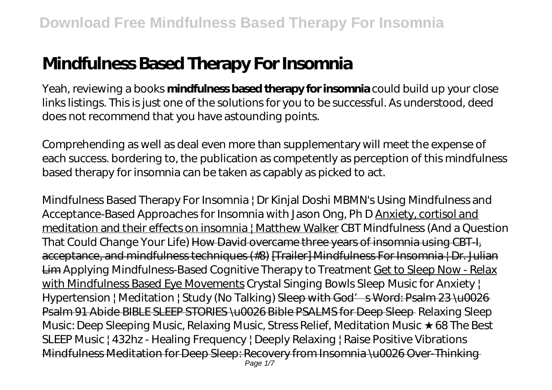# **Mindfulness Based Therapy For Insomnia**

Yeah, reviewing a books **mindfulness based therapy for insomnia** could build up your close links listings. This is just one of the solutions for you to be successful. As understood, deed does not recommend that you have astounding points.

Comprehending as well as deal even more than supplementary will meet the expense of each success. bordering to, the publication as competently as perception of this mindfulness based therapy for insomnia can be taken as capably as picked to act.

*Mindfulness Based Therapy For Insomnia | Dr Kinjal Doshi* MBMN's Using Mindfulness and Acceptance-Based Approaches for Insomnia with Jason Ong, Ph D Anxiety, cortisol and meditation and their effects on insomnia | Matthew Walker CBT Mindfulness (And a Question That Could Change Your Life) How David overcame three years of insomnia using CBT-I. acceptance, and mindfulness techniques (#8) [Trailer] Mindfulness For Insomnia | Dr. Julian Lim *Applying Mindfulness-Based Cognitive Therapy to Treatment* Get to Sleep Now - Relax with Mindfulness Based Eye Movements *Crystal Singing Bowls Sleep Music for Anxiety | Hypertension | Meditation | Study (No Talking)* Sleep with God's Word: Psalm 23 \u0026 Psalm 91 Abide BIBLE SLEEP STORIES \u0026 Bible PSALMS for Deep Sleep *Relaxing Sleep Music: Deep Sleeping Music, Relaxing Music, Stress Relief, Meditation Music ★68 The Best SLEEP Music | 432hz - Healing Frequency | Deeply Relaxing | Raise Positive Vibrations* Mindfulness Meditation for Deep Sleep: Recovery from Insomnia \u0026 Over-Thinking Page  $1/7$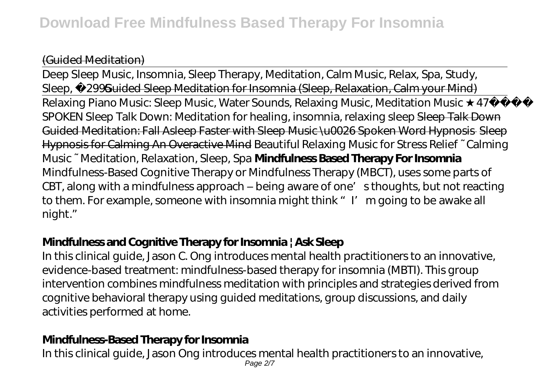#### (Guided Meditation)

Deep Sleep Music, Insomnia, Sleep Therapy, Meditation, Calm Music, Relax, Spa, Study, Sleep, 2995 Guided Sleep Meditation for Insomnia (Sleep, Relaxation, Calm your Mind) Relaxing Piano Music: Sleep Music, Water Sounds, Relaxing Music, Meditation Music 47 SPOKEN Sleep Talk Down: Meditation for healing, insomnia, relaxing sleep Sleep Talk Down Guided Meditation: Fall Asleep Faster with Sleep Music \u0026 Spoken Word Hypnosis Sleep Hypnosis for Calming An Overactive Mind Beautiful Relaxing Music for Stress Relief ~ Calming Music ~ Meditation, Relaxation, Sleep, Spa **Mindfulness Based Therapy For Insomnia** Mindfulness-Based Cognitive Therapy or Mindfulness Therapy (MBCT), uses some parts of CBT, along with a mindfulness approach – being aware of one's thoughts, but not reacting to them. For example, someone with insomnia might think "I'm going to be awake all night."

## **Mindfulness and Cognitive Therapy for Insomnia | Ask Sleep**

In this clinical guide, Jason C. Ong introduces mental health practitioners to an innovative, evidence-based treatment: mindfulness-based therapy for insomnia (MBTI). This group intervention combines mindfulness meditation with principles and strategies derived from cognitive behavioral therapy using guided meditations, group discussions, and daily activities performed at home.

## **Mindfulness-Based Therapy for Insomnia**

In this clinical guide, Jason Ong introduces mental health practitioners to an innovative, Page 2/7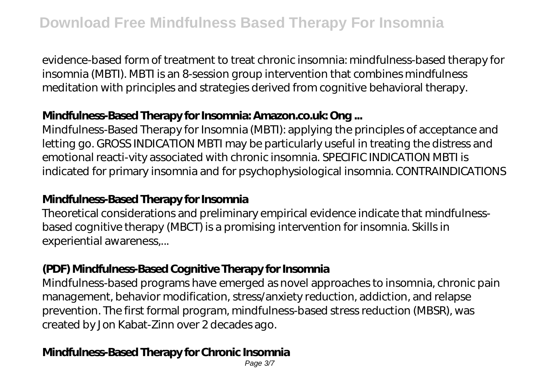evidence-based form of treatment to treat chronic insomnia: mindfulness-based therapy for insomnia (MBTI). MBTI is an 8-session group intervention that combines mindfulness meditation with principles and strategies derived from cognitive behavioral therapy.

### **Mindfulness-Based Therapy for Insomnia: Amazon.co.uk: Ong ...**

Mindfulness-Based Therapy for Insomnia (MBTI): applying the principles of acceptance and letting go. GROSS INDICATION MBTI may be particularly useful in treating the distress and emotional reacti-vity associated with chronic insomnia. SPECIFIC INDICATION MBTI is indicated for primary insomnia and for psychophysiological insomnia. CONTRAINDICATIONS

#### **Mindfulness-Based Therapy for Insomnia**

Theoretical considerations and preliminary empirical evidence indicate that mindfulnessbased cognitive therapy (MBCT) is a promising intervention for insomnia. Skills in experiential awareness,...

## **(PDF) Mindfulness-Based Cognitive Therapy for Insomnia**

Mindfulness-based programs have emerged as novel approaches to insomnia, chronic pain management, behavior modification, stress/anxiety reduction, addiction, and relapse prevention. The first formal program, mindfulness-based stress reduction (MBSR), was created by Jon Kabat-Zinn over 2 decades ago.

## **Mindfulness-Based Therapy for Chronic Insomnia**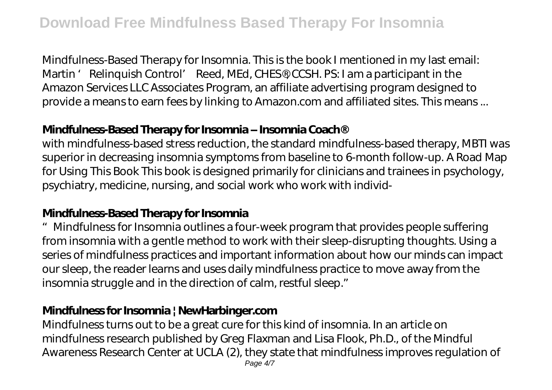Mindfulness-Based Therapy for Insomnia. This is the book I mentioned in my last email: Martin ' Relinquish Control' Reed, MEd, CHES®, CCSH. PS: I am a participant in the Amazon Services LLC Associates Program, an affiliate advertising program designed to provide a means to earn fees by linking to Amazon.com and affiliated sites. This means ...

#### **Mindfulness-Based Therapy for Insomnia – Insomnia Coach®**

with mindfulness-based stress reduction, the standard mindfulness-based therapy, MBTI was superior in decreasing insomnia symptoms from baseline to 6-month follow-up. A Road Map for Using This Book This book is designed primarily for clinicians and trainees in psychology, psychiatry, medicine, nursing, and social work who work with individ-

## **Mindfulness-Based Therapy for Insomnia**

"Mindfulness for Insomnia outlines a four-week program that provides people suffering from insomnia with a gentle method to work with their sleep-disrupting thoughts. Using a series of mindfulness practices and important information about how our minds can impact our sleep, the reader learns and uses daily mindfulness practice to move away from the insomnia struggle and in the direction of calm, restful sleep."

#### **Mindfulness for Insomnia | NewHarbinger.com**

Mindfulness turns out to be a great cure for this kind of insomnia. In an article on mindfulness research published by Greg Flaxman and Lisa Flook, Ph.D., of the Mindful Awareness Research Center at UCLA (2), they state that mindfulness improves regulation of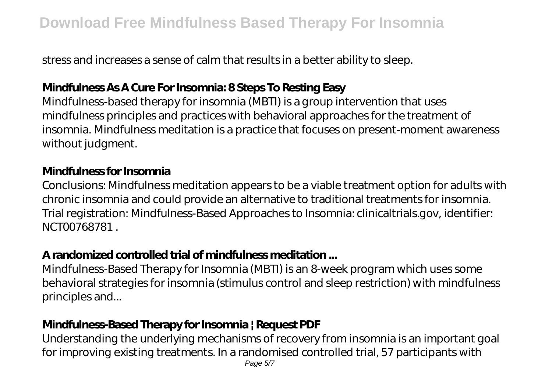stress and increases a sense of calm that results in a better ability to sleep.

## **Mindfulness As A Cure For Insomnia: 8 Steps To Resting Easy**

Mindfulness-based therapy for insomnia (MBTI) is a group intervention that uses mindfulness principles and practices with behavioral approaches for the treatment of insomnia. Mindfulness meditation is a practice that focuses on present-moment awareness without judgment.

#### **Mindfulness for Insomnia**

Conclusions: Mindfulness meditation appears to be a viable treatment option for adults with chronic insomnia and could provide an alternative to traditional treatments for insomnia. Trial registration: Mindfulness-Based Approaches to Insomnia: clinicaltrials.gov, identifier: NCT00768781 .

## **A randomized controlled trial of mindfulness meditation ...**

Mindfulness-Based Therapy for Insomnia (MBTI) is an 8-week program which uses some behavioral strategies for insomnia (stimulus control and sleep restriction) with mindfulness principles and...

## **Mindfulness-Based Therapy for Insomnia | Request PDF**

Understanding the underlying mechanisms of recovery from insomnia is an important goal for improving existing treatments. In a randomised controlled trial, 57 participants with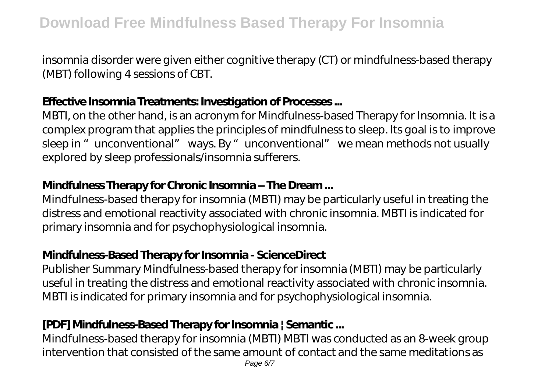insomnia disorder were given either cognitive therapy (CT) or mindfulness-based therapy (MBT) following 4 sessions of CBT.

#### **Effective Insomnia Treatments: Investigation of Processes ...**

MBTI, on the other hand, is an acronym for Mindfulness-based Therapy for Insomnia. It is a complex program that applies the principles of mindfulness to sleep. Its goal is to improve sleep in "unconventional" ways. By "unconventional" we mean methods not usually explored by sleep professionals/insomnia sufferers.

#### **Mindfulness Therapy for Chronic Insomnia – The Dream ...**

Mindfulness-based therapy for insomnia (MBTI) may be particularly useful in treating the distress and emotional reactivity associated with chronic insomnia. MBTI is indicated for primary insomnia and for psychophysiological insomnia.

#### **Mindfulness-Based Therapy for Insomnia - ScienceDirect**

Publisher Summary Mindfulness-based therapy for insomnia (MBTI) may be particularly useful in treating the distress and emotional reactivity associated with chronic insomnia. MBTI is indicated for primary insomnia and for psychophysiological insomnia.

## **[PDF] Mindfulness-Based Therapy for Insomnia | Semantic ...**

Mindfulness-based therapy for insomnia (MBTI) MBTI was conducted as an 8-week group intervention that consisted of the same amount of contact and the same meditations as